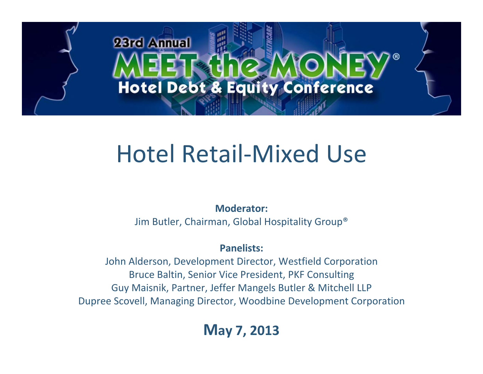# 23rd Annual **Hotel Debt & Equity Conference**

# Hotel Retail ‐Mixed Use

**Moderator:**

Jim Butler, Chairman, Global Hospitality Group®

## **Panelists:**

John Alderson, Development Director, Westfield Corporation Bruce Baltin, Senior Vice President, PKF Consulting Guy Maisnik, Partner, Jeffer Mangels Butler & Mitchell LLP Dupree Scovell, Managing Director, Woodbine Development Corporation

# **May 7, 2013**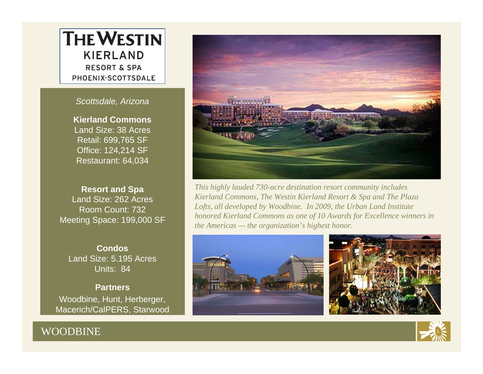# **THE WESTIN KIERLAND RESORT & SPA** PHOENIX-SCOTTSDALE

*Scottsdale, Arizona*

**Kierland Commons**Land Size: 38 AcresRetail: 699,765 SF Office: 124,214 SF Restaurant: 64,034

**Resort and Spa** Land Size: 262 AcresRoom Count: 732Meeting Space: 199,000 SF

**Condos**Land Size: 5.195 AcresUnits: 84

**Partners**Woodbine, Hunt, Herberger, Macerich/CalPERS, Starwood

WOODBINE



*This highly lauded 730-acre destination resort community includes Kierland Commons, The Westin Kierland Resort & Spa and The Plaza Lofts, all developed by Woodbine. In 2009, the Urban Land Institute honored Kierland Commons as one of 10 Awards for Excellence winners in the Americas — the organization's highest honor.*





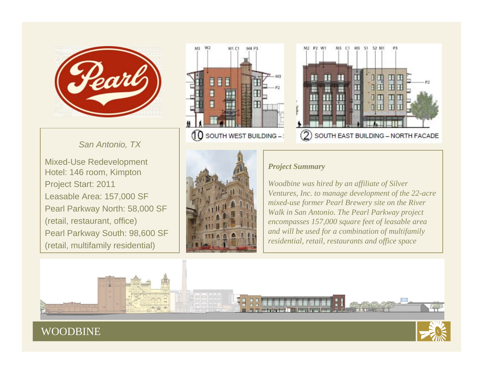

*San Antonio, TX*

Mixed-Use Redevelopment Hotel: 146 room, Kimpton Project Start: 2011 Leasable Area: 157,000 SF Pearl Parkway North: 58,000 SF (retail, restaurant, office) Pearl Parkway South: 98,600 SF (retail, multifamily residential)







#### *Project Summary*

*Woodbine was hired by an affiliate of Silver Ventures, Inc. to manage development of the 22-acre mixed-use former Pearl Brewery site on the River Walk in San Antonio. The Pearl Parkway project encompasses 157,000 square feet of leasable area and will be used for a combination of multifamily residential, retail, restaurants and office space*

## WOODBINE